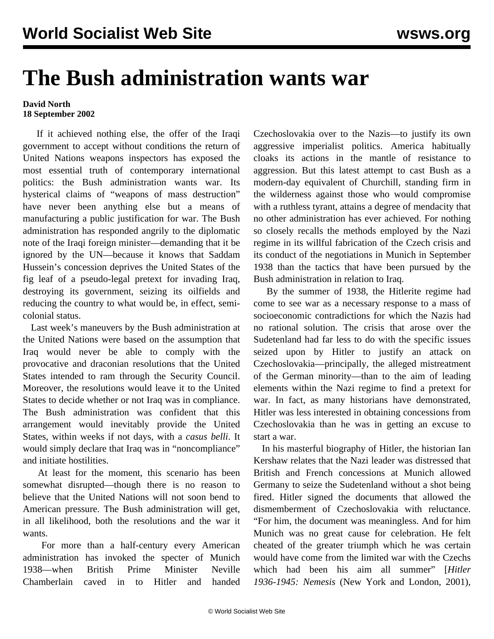## **The Bush administration wants war**

## **David North 18 September 2002**

 If it achieved nothing else, the offer of the Iraqi government to accept without conditions the return of United Nations weapons inspectors has exposed the most essential truth of contemporary international politics: the Bush administration wants war. Its hysterical claims of "weapons of mass destruction" have never been anything else but a means of manufacturing a public justification for war. The Bush administration has responded angrily to the diplomatic note of the Iraqi foreign minister—demanding that it be ignored by the UN—because it knows that Saddam Hussein's concession deprives the United States of the fig leaf of a pseudo-legal pretext for invading Iraq, destroying its government, seizing its oilfields and reducing the country to what would be, in effect, semicolonial status.

 Last week's maneuvers by the Bush administration at the United Nations were based on the assumption that Iraq would never be able to comply with the provocative and draconian resolutions that the United States intended to ram through the Security Council. Moreover, the resolutions would leave it to the United States to decide whether or not Iraq was in compliance. The Bush administration was confident that this arrangement would inevitably provide the United States, within weeks if not days, with a *casus belli*. It would simply declare that Iraq was in "noncompliance" and initiate hostilities.

 At least for the moment, this scenario has been somewhat disrupted—though there is no reason to believe that the United Nations will not soon bend to American pressure. The Bush administration will get, in all likelihood, both the resolutions and the war it wants.

 For more than a half-century every American administration has invoked the specter of Munich 1938—when British Prime Minister Neville Chamberlain caved in to Hitler and handed

Czechoslovakia over to the Nazis—to justify its own aggressive imperialist politics. America habitually cloaks its actions in the mantle of resistance to aggression. But this latest attempt to cast Bush as a modern-day equivalent of Churchill, standing firm in the wilderness against those who would compromise with a ruthless tyrant, attains a degree of mendacity that no other administration has ever achieved. For nothing so closely recalls the methods employed by the Nazi regime in its willful fabrication of the Czech crisis and its conduct of the negotiations in Munich in September 1938 than the tactics that have been pursued by the Bush administration in relation to Iraq.

 By the summer of 1938, the Hitlerite regime had come to see war as a necessary response to a mass of socioeconomic contradictions for which the Nazis had no rational solution. The crisis that arose over the Sudetenland had far less to do with the specific issues seized upon by Hitler to justify an attack on Czechoslovakia—principally, the alleged mistreatment of the German minority—than to the aim of leading elements within the Nazi regime to find a pretext for war. In fact, as many historians have demonstrated, Hitler was less interested in obtaining concessions from Czechoslovakia than he was in getting an excuse to start a war.

 In his masterful biography of Hitler, the historian Ian Kershaw relates that the Nazi leader was distressed that British and French concessions at Munich allowed Germany to seize the Sudetenland without a shot being fired. Hitler signed the documents that allowed the dismemberment of Czechoslovakia with reluctance. "For him, the document was meaningless. And for him Munich was no great cause for celebration. He felt cheated of the greater triumph which he was certain would have come from the limited war with the Czechs which had been his aim all summer" [*Hitler 1936-1945: Nemesis* (New York and London, 2001),